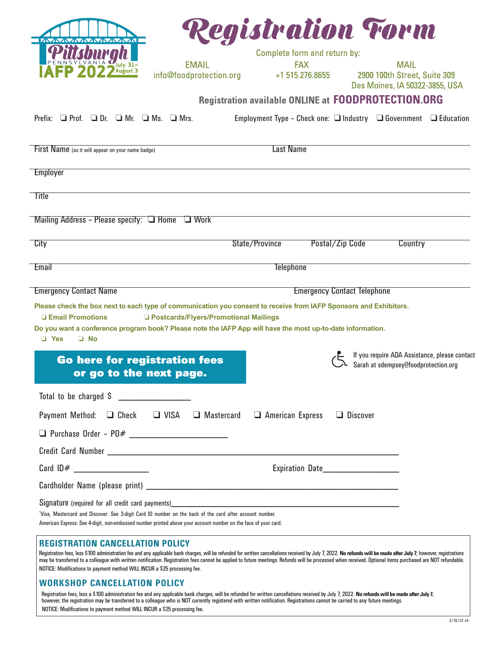| <b>MAAAAAAAA</b>                                                                                                                                                                                                                                                                                                                                                                                                                                                             |                                         | Registration Torm                                          |                                    |                                                                                       |  |
|------------------------------------------------------------------------------------------------------------------------------------------------------------------------------------------------------------------------------------------------------------------------------------------------------------------------------------------------------------------------------------------------------------------------------------------------------------------------------|-----------------------------------------|------------------------------------------------------------|------------------------------------|---------------------------------------------------------------------------------------|--|
|                                                                                                                                                                                                                                                                                                                                                                                                                                                                              | <b>EMAIL</b>                            | Complete form and return by:                               |                                    |                                                                                       |  |
|                                                                                                                                                                                                                                                                                                                                                                                                                                                                              | info@foodprotection.org                 | <b>FAX</b><br>+1 515.276.8655                              |                                    | <b>MAIL</b><br>2900 100th Street, Suite 309<br>Des Moines, IA 50322-3855, USA         |  |
|                                                                                                                                                                                                                                                                                                                                                                                                                                                                              |                                         | <b>Registration available ONLINE at FOODPROTECTION.ORG</b> |                                    |                                                                                       |  |
| Prefix: $\Box$ Prof. $\Box$ Dr. $\Box$ Mr. $\Box$ Ms. $\Box$ Mrs.                                                                                                                                                                                                                                                                                                                                                                                                            |                                         |                                                            |                                    | Employment Type - Check one: $\Box$ Industry $\Box$ Government $\Box$ Education       |  |
| First Name (as it will appear on your name badge)                                                                                                                                                                                                                                                                                                                                                                                                                            |                                         | <b>Last Name</b>                                           |                                    |                                                                                       |  |
| <b>Employer</b>                                                                                                                                                                                                                                                                                                                                                                                                                                                              |                                         |                                                            |                                    |                                                                                       |  |
| <b>Title</b>                                                                                                                                                                                                                                                                                                                                                                                                                                                                 |                                         |                                                            |                                    |                                                                                       |  |
| Mailing Address - Please specify: $\Box$ Home                                                                                                                                                                                                                                                                                                                                                                                                                                | $\Box$ Work                             |                                                            |                                    |                                                                                       |  |
| City                                                                                                                                                                                                                                                                                                                                                                                                                                                                         |                                         | State/Province                                             | Postal/Zip Code                    | Country                                                                               |  |
| Email                                                                                                                                                                                                                                                                                                                                                                                                                                                                        |                                         | <b>Telephone</b>                                           |                                    |                                                                                       |  |
| <b>Emergency Contact Name</b>                                                                                                                                                                                                                                                                                                                                                                                                                                                |                                         |                                                            | <b>Emergency Contact Telephone</b> |                                                                                       |  |
| Please check the box next to each type of communication you consent to receive from IAFP Sponsors and Exhibitors.<br><b>Email Promotions</b><br>Do you want a conference program book? Please note the IAFP App will have the most up-to-date information.<br>$\Box$ Yes<br>$\Box$ No                                                                                                                                                                                        | □ Postcards/Flyers/Promotional Mailings |                                                            |                                    |                                                                                       |  |
| <b>Go here for registration fees</b><br>or go to the next page.                                                                                                                                                                                                                                                                                                                                                                                                              |                                         |                                                            |                                    | If you require ADA Assistance, please contact<br>Sarah at sdempsey@foodprotection.org |  |
| Total to be charged \$<br>and the company of the company of                                                                                                                                                                                                                                                                                                                                                                                                                  |                                         |                                                            |                                    |                                                                                       |  |
| Payment Method: □ Check □ VISA                                                                                                                                                                                                                                                                                                                                                                                                                                               | Mastercard                              | $\Box$ American Express                                    | $\Box$ Discover                    |                                                                                       |  |
|                                                                                                                                                                                                                                                                                                                                                                                                                                                                              |                                         |                                                            |                                    |                                                                                       |  |
| Credit Card Number Leader and Contract and Contract and Contract and Contract and Contract and Contract and Contract and Contract and Contract and Contract and Contract and Contract and Contract and Contract and Contract a                                                                                                                                                                                                                                               |                                         |                                                            |                                    |                                                                                       |  |
|                                                                                                                                                                                                                                                                                                                                                                                                                                                                              |                                         |                                                            |                                    |                                                                                       |  |
|                                                                                                                                                                                                                                                                                                                                                                                                                                                                              |                                         |                                                            |                                    |                                                                                       |  |
| Signature (required for all credit card payments) and the state of the state of the state of the state of the state of the state of the state of the state of the state of the state of the state of the state of the state of<br>'Visa, Mastercard and Discover: See 3-digit Card ID number on the back of the card after account number.<br>American Express: See 4-digit, non-embossed number printed above your account number on the face of your card.                 |                                         |                                                            |                                    |                                                                                       |  |
| <b>REGISTRATION CANCELLATION POLICY</b><br>Registration fees, less \$100 administration fee and any applicable bank charges, will be refunded for written cancellations received by July 7, 2022. No refunds will be made after July 7, however, registrations<br>may be transferred to a colleague with written notification. Registration fees cannot be applied to future meetings. Refunds will be processed when received. Optional items purchased are NOT refundable. |                                         |                                                            |                                    |                                                                                       |  |

## **WORKSHOP CANCELLATION POLICY**

NOTICE: Modifications to payment method WILL INCUR a \$25 processing fee.

Registration fees, less a \$100 administration fee and any applicable bank charges, will be refunded for written cancellations received by July 7, 2022. **No refunds will be made after July 7,** however, the registration may be transferred to a colleague who is NOT currently registered with written notification. Registrations cannot be carried to any future meetings. NOTICE: Modifications to payment method WILL INCUR a \$25 processing fee.